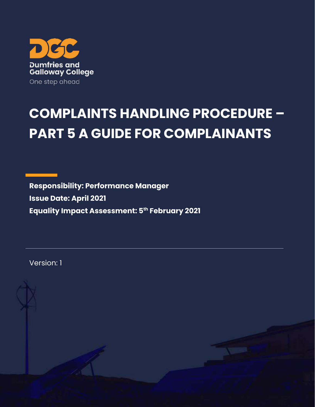

# **COMPLAINTS HANDLING PROCEDURE – PART 5 A GUIDE FOR COMPLAINANTS**

**Responsibility: Performance Manager Issue Date: April 2021 Equality Impact Assessment: 5th February 2021**

Version: 1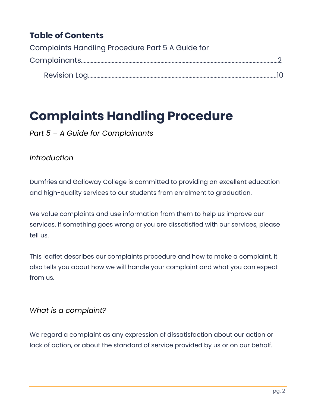## **Table of Contents**

| Complaints Handling Procedure Part 5 A Guide for |  |
|--------------------------------------------------|--|
|                                                  |  |
|                                                  |  |

# <span id="page-1-0"></span>**Complaints Handling Procedure**

*Part 5 – A Guide for Complainants*

#### *Introduction*

Dumfries and Galloway College is committed to providing an excellent education and high-quality services to our students from enrolment to graduation.

We value complaints and use information from them to help us improve our services. If something goes wrong or you are dissatisfied with our services, please tell us.

This leaflet describes our complaints procedure and how to make a complaint. It also tells you about how we will handle your complaint and what you can expect from us.

#### *What is a complaint?*

We regard a complaint as any expression of dissatisfaction about our action or lack of action, or about the standard of service provided by us or on our behalf.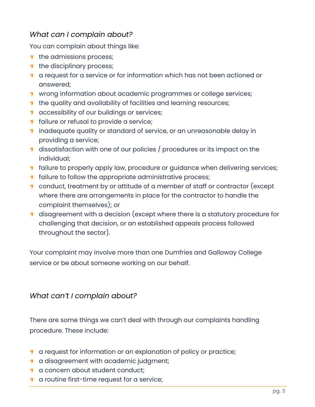#### *What can I complain about?*

You can complain about things like:

- $\blacksquare$  the admissions process;
- $\blacksquare$  the disciplinary process;
- **1** a request for a service or for information which has not been actioned or answered;
- **1** wrong information about academic programmes or college services;
- **1** the quality and availability of facilities and learning resources;
- **1** accessibility of our buildings or services;
- **1** failure or refusal to provide a service;
- **1** inadequate quality or standard of service, or an unreasonable delay in providing a service;
- dissatisfaction with one of our policies / procedures or its impact on the individual;
- **1** failure to properly apply law, procedure or guidance when delivering services;
- **1** failure to follow the appropriate administrative process;
- **1** conduct, treatment by or attitude of a member of staff or contractor (except where there are arrangements in place for the contractor to handle the complaint themselves); or
- **1** disagreement with a decision (except where there is a statutory procedure for challenging that decision, or an established appeals process followed throughout the sector).

Your complaint may involve more than one Dumfries and Galloway College service or be about someone working on our behalf.

#### *What can't I complain about?*

There are some things we can't deal with through our complaints handling procedure. These include:

- **1** a request for information or an explanation of policy or practice;
- **1** a disagreement with academic judgment;
- **1** a concern about student conduct;
- **1** a routine first-time request for a service;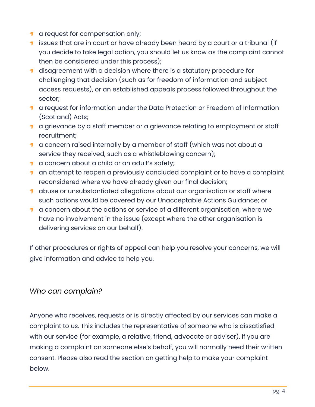- **1** a request for compensation only;
- **1** issues that are in court or have already been heard by a court or a tribunal (if you decide to take legal action, you should let us know as the complaint cannot then be considered under this process);
- **1** disagreement with a decision where there is a statutory procedure for challenging that decision (such as for freedom of information and subject access requests), or an established appeals process followed throughout the sector;
- a request for information under the Data Protection or Freedom of Information (Scotland) Acts;
- **1** a grievance by a staff member or a grievance relating to employment or staff recruitment;
- **1** a concern raised internally by a member of staff (which was not about a service they received, such as a whistleblowing concern);
- **1** a concern about a child or an adult's safety;
- **1** an attempt to reopen a previously concluded complaint or to have a complaint reconsidered where we have already given our final decision;
- **1** abuse or unsubstantiated allegations about our organisation or staff where such actions would be covered by our Unacceptable Actions Guidance; or
- **1** a concern about the actions or service of a different organisation, where we have no involvement in the issue (except where the other organisation is delivering services on our behalf).

If other procedures or rights of appeal can help you resolve your concerns, we will give information and advice to help you.

#### *Who can complain?*

Anyone who receives, requests or is directly affected by our services can make a complaint to us. This includes the representative of someone who is dissatisfied with our service (for example, a relative, friend, advocate or adviser). If you are making a complaint on someone else's behalf, you will normally need their written consent. Please also read the section on getting help to make your complaint below.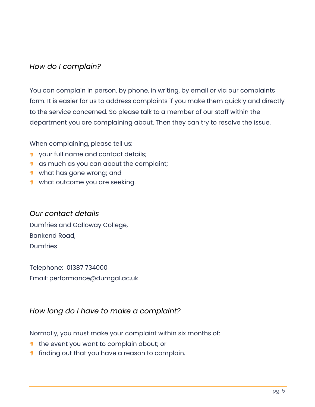#### *How do I complain?*

You can complain in person, by phone, in writing, by email or via our complaints form. It is easier for us to address complaints if you make them quickly and directly to the service concerned. So please talk to a member of our staff within the department you are complaining about. Then they can try to resolve the issue.

When complaining, please tell us:

- **1** your full name and contact details;
- **1** as much as you can about the complaint;
- what has gone wrong; and
- what outcome you are seeking.

#### *Our contact details*

Dumfries and Galloway College, Bankend Road, Dumfries

Telephone: 01387 734000 Email: performance@dumgal.ac.uk

#### *How long do I have to make a complaint?*

Normally, you must make your complaint within six months of:

- **1** the event you want to complain about; or
- **finding out that you have a reason to complain.**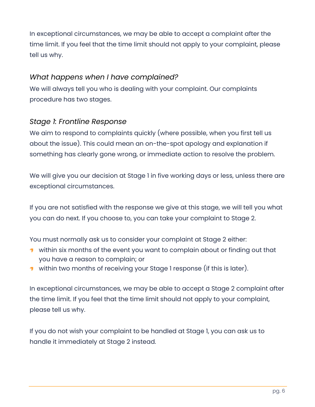In exceptional circumstances, we may be able to accept a complaint after the time limit. If you feel that the time limit should not apply to your complaint, please tell us why.

#### *What happens when I have complained?*

We will always tell you who is dealing with your complaint. Our complaints procedure has two stages.

#### *Stage 1: Frontline Response*

We aim to respond to complaints quickly (where possible, when you first tell us about the issue). This could mean an on-the-spot apology and explanation if something has clearly gone wrong, or immediate action to resolve the problem.

We will give you our decision at Stage 1 in five working days or less, unless there are exceptional circumstances.

If you are not satisfied with the response we give at this stage, we will tell you what you can do next. If you choose to, you can take your complaint to Stage 2.

You must normally ask us to consider your complaint at Stage 2 either:

- within six months of the event you want to complain about or finding out that you have a reason to complain; or
- within two months of receiving your Stage 1 response (if this is later).

In exceptional circumstances, we may be able to accept a Stage 2 complaint after the time limit. If you feel that the time limit should not apply to your complaint, please tell us why.

If you do not wish your complaint to be handled at Stage 1, you can ask us to handle it immediately at Stage 2 instead.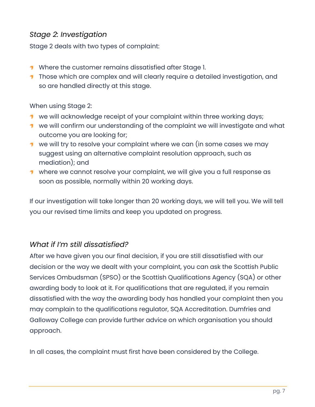#### *Stage 2: Investigation*

Stage 2 deals with two types of complaint:

- **1** Where the customer remains dissatisfied after Stage 1.
- **T** Those which are complex and will clearly require a detailed investigation, and so are handled directly at this stage.

#### When using Stage 2:

- **1** we will acknowledge receipt of your complaint within three working days;
- **1** we will confirm our understanding of the complaint we will investigate and what outcome you are looking for;
- $\blacksquare$  we will try to resolve your complaint where we can (in some cases we may suggest using an alternative complaint resolution approach, such as mediation); and
- where we cannot resolve your complaint, we will give you a full response as soon as possible, normally within 20 working days.

If our investigation will take longer than 20 working days, we will tell you. We will tell you our revised time limits and keep you updated on progress.

#### *What if I'm still dissatisfied?*

After we have given you our final decision, if you are still dissatisfied with our decision or the way we dealt with your complaint, you can ask the Scottish Public Services Ombudsman (SPSO) or the Scottish Qualifications Agency (SQA) or other awarding body to look at it. For qualifications that are regulated, if you remain dissatisfied with the way the awarding body has handled your complaint then you may complain to the qualifications regulator, SQA Accreditation. Dumfries and Galloway College can provide further advice on which organisation you should approach.

In all cases, the complaint must first have been considered by the College.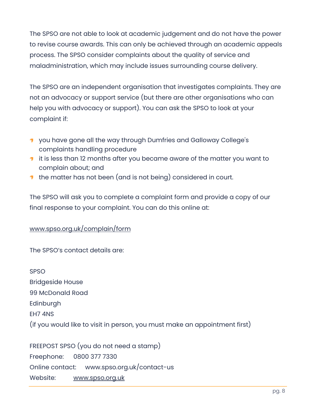The SPSO are not able to look at academic judgement and do not have the power to revise course awards. This can only be achieved through an academic appeals process. The SPSO consider complaints about the quality of service and maladministration, which may include issues surrounding course delivery.

The SPSO are an independent organisation that investigates complaints. They are not an advocacy or support service (but there are other organisations who can help you with advocacy or support). You can ask the SPSO to look at your complaint if:

- **1** you have gone all the way through Dumfries and Galloway College's complaints handling procedure
- **1** it is less than 12 months after you became aware of the matter you want to complain about; and
- **the matter has not been (and is not being) considered in court.**

The SPSO will ask you to complete a complaint form and provide a copy of our final response to your complaint. You can do this online at:

#### [www.spso.org.uk/complain/form](http://www.spso.org.uk/complain/form)

The SPSO's contact details are:

SPSO Bridgeside House 99 McDonald Road Edinburgh EH7 4NS (if you would like to visit in person, you must make an appointment first)

FREEPOST SPSO (you do not need a stamp) Freephone: 0800 377 7330 Online contact: www.spso.org.uk/contact-us Website: [www.spso.org.uk](http://www.spso.org.uk/)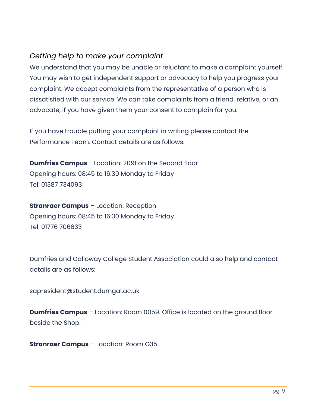#### *Getting help to make your complaint*

We understand that you may be unable or reluctant to make a complaint yourself. You may wish to get independent support or advocacy to help you progress your complaint. We accept complaints from the representative of a person who is dissatisfied with our service. We can take complaints from a friend, relative, or an advocate, if you have given them your consent to complain for you.

If you have trouble putting your complaint in writing please contact the Performance Team. Contact details are as follows:

**Dumfries Campus** - Location: 2091 on the Second floor Opening hours: 08:45 to 16:30 Monday to Friday Tel: 01387 734093

**Stranraer Campus** – Location: Reception Opening hours: 08:45 to 16:30 Monday to Friday Tel: 01776 706633

Dumfries and Galloway College Student Association could also help and contact details are as follows:

sapresident@student.dumgal.ac.uk

**Dumfries Campus** – Location: Room 0059. Office is located on the ground floor beside the Shop.

**Stranraer Campus** – Location: Room G35.